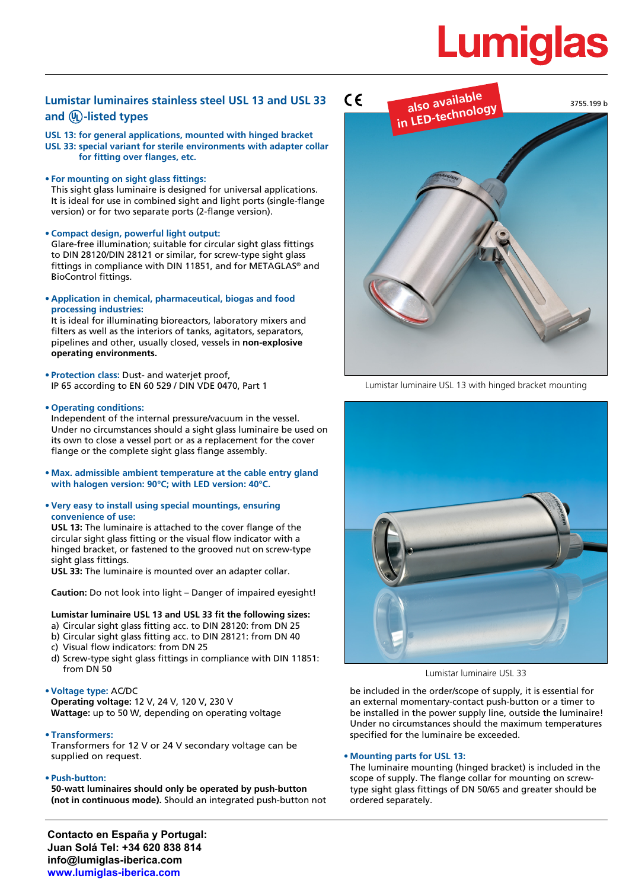# **Lumigla**

## **Lumistar luminaires stainless steel USL 13 and USL 33**  and  $\overline{W}$ -listed types

**USL 13: for general applications, mounted with hinged bracket USL 33: special variant for sterile environments with adapter collar for fitting over flanges, etc.**

#### **• For mounting on sight glass fittings:**

This sight glass luminaire is designed for universal applications. It is ideal for use in combined sight and light ports (single-flange version) or for two separate ports (2-flange version).

**• Compact design, powerful light output:**

Glare-free illumination; suitable for circular sight glass fittings to DIN 28120/DIN 28121 or similar, for screw-type sight glass fittings in compliance with DIN 11851, and for METAGLAS® and BioControl fittings.

**• Application in chemical, pharmaceutical, biogas and food processing industries:**

It is ideal for illuminating bioreactors, laboratory mixers and filters as well as the interiors of tanks, agitators, separators, pipelines and other, usually closed, vessels in **non-explosive operating environments.**

**• Protection class:** Dust- and waterjet proof, IP 65 according to EN 60 529 / DIN VDE 0470, Part 1

#### **• Operating conditions:**

Independent of the internal pressure/vacuum in the vessel. Under no circumstances should a sight glass luminaire be used on its own to close a vessel port or as a replacement for the cover flange or the complete sight glass flange assembly.

- **• Max. admissible ambient temperature at the cable entry gland with halogen version: 90°C; with LED version: 40°C.**
- **• Very easy to install using special mountings, ensuring convenience of use:**

**USL 13:** The luminaire is attached to the cover flange of the circular sight glass fitting or the visual flow indicator with a hinged bracket, or fastened to the grooved nut on screw-type sight glass fittings.

**USL 33:** The luminaire is mounted over an adapter collar.

**Caution:** Do not look into light – Danger of impaired eyesight!

#### **Lumistar luminaire USL 13 and USL 33 fit the following sizes:**

- a) Circular sight glass fitting acc. to DIN 28120: from DN 25
- b) Circular sight glass fitting acc. to DIN 28121: from DN 40
- c) Visual flow indicators: from DN 25
- d) Screw-type sight glass fittings in compliance with DIN 11851: from DN 50

### **•Voltage type:** AC/DC

**Operating voltage:** 12 V, 24 V, 120 V, 230 V **Wattage:** up to 50 W, depending on operating voltage

**• Transformers:**

Transformers for 12 V or 24 V secondary voltage can be supplied on request.

#### **• Push-button:**

**50-watt luminaires should only be operated by push-button (not in continuous mode).** Should an integrated push-button not





Lumistar luminaire USL 13 with hinged bracket mounting



Lumistar luminaire USL 33

be included in the order/scope of supply, it is essential for an external momentary-contact push-button or a timer to be installed in the power supply line, outside the luminaire! Under no circumstances should the maximum temperatures specified for the luminaire be exceeded.

#### **• Mounting parts for USL 13:**

The luminaire mounting (hinged bracket) is included in the scope of supply. The flange collar for mounting on screwtype sight glass fittings of DN 50/65 and greater should be ordered separately.